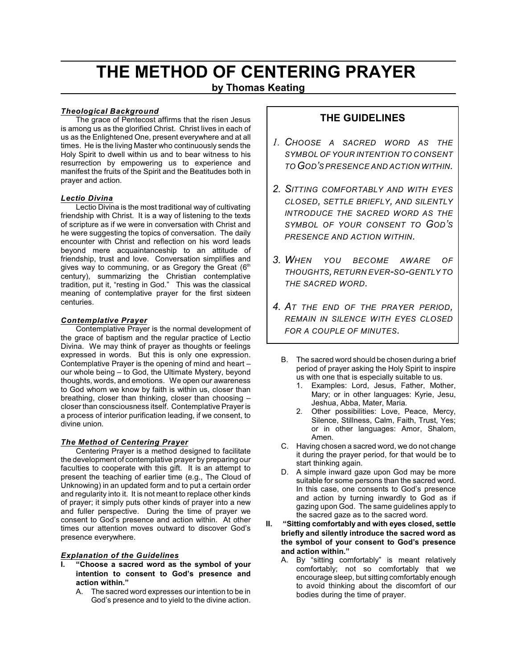# **THE METHOD OF CENTERING PRAYER**

**by Thomas Keating**

# *Theological Background*

The grace of Pentecost affirms that the risen Jesus is among us as the glorified Christ. Christ lives in each of us as the Enlightened One, present everywhere and at all times. He is the living Master who continuously sends the Holy Spirit to dwell within us and to bear witness to his resurrection by empowering us to experience and manifest the fruits of the Spirit and the Beatitudes both in prayer and action.

## *Lectio Divina*

Lectio Divina is the most traditional way of cultivating friendship with Christ. It is a way of listening to the texts of scripture as if we were in conversation with Christ and he were suggesting the topics of conversation. The daily encounter with Christ and reflection on his word leads beyond mere acquaintanceship to an attitude of friendship, trust and love. Conversation simplifies and gives way to communing, or as Gregory the Great  $(6<sup>th</sup>$ century), summarizing the Christian contemplative tradition, put it, "resting in God." This was the classical meaning of contemplative prayer for the first sixteen centuries.

# *Contemplative Prayer*

Contemplative Prayer is the normal development of the grace of baptism and the regular practice of Lectio Divina. We may think of prayer as thoughts or feelings expressed in words. But this is only one expression. Contemplative Prayer is the opening of mind and heart – our whole being – to God, the Ultimate Mystery, beyond thoughts, words, and emotions. We open our awareness to God whom we know by faith is within us, closer than breathing, closer than thinking, closer than choosing – closer than consciousness itself. Contemplative Prayer is a process of interior purification leading, if we consent, to divine union.

# *The Method of Centering Prayer*

Centering Prayer is a method designed to facilitate the development of contemplative prayer by preparing our faculties to cooperate with this gift. It is an attempt to present the teaching of earlier time (e.g., The Cloud of Unknowing) in an updated form and to put a certain order and regularity into it. It is not meant to replace other kinds of prayer; it simply puts other kinds of prayer into a new and fuller perspective. During the time of prayer we consent to God's presence and action within. At other times our attention moves outward to discover God's presence everywhere.

# *Explanation of the Guidelines*

- **I. "Choose a sacred word as the symbol of your intention to consent to God's presence and action within."**
	- A. The sacred word expresses our intention to be in God's presence and to yield to the divine action.

# **THE GUIDELINES**

- *1. CHOOSE A SACRED WORD AS THE SYMBOL OF YOUR INTENTION TO CONSENT TO GOD'S PRESENCE AND ACTION WITHIN.*
- *2. SITTING COMFORTABLY AND WITH EYES CLOSED, SETTLE BRIEFLY, AND SILENTLY INTRODUCE THE SACRED WORD AS THE SYMBOL OF YOUR CONSENT TO GOD'S PRESENCE AND ACTION WITHIN.*
- *3. WHEN YOU BECOME AWARE OF THOUGHTS, RETURN EVER-SO-GENTLY TO THE SACRED WORD.*
- *4. AT THE END OF THE PRAYER PERIOD, REMAIN IN SILENCE WITH EYES CLOSED FOR A COUPLE OF MINUTES.*
	- B. The sacred word should be chosen during a brief period of prayer asking the Holy Spirit to inspire us with one that is especially suitable to us.
		- 1. Examples: Lord, Jesus, Father, Mother, Mary; or in other languages: Kyrie, Jesu, Jeshua, Abba, Mater, Maria.
		- 2. Other possibilities: Love, Peace, Mercy, Silence, Stillness, Calm, Faith, Trust, Yes; or in other languages: Amor, Shalom, Amen.
	- C. Having chosen a sacred word, we do not change it during the prayer period, for that would be to start thinking again.
	- D. A simple inward gaze upon God may be more suitable for some persons than the sacred word. In this case, one consents to God's presence and action by turning inwardly to God as if gazing upon God. The same guidelines apply to the sacred gaze as to the sacred word.
- **II. "Sitting comfortably and with eyes closed, settle briefly and silently introduce the sacred word as the symbol of your consent to God's presence and action within."**
	- A. By "sitting comfortably" is meant relatively comfortably; not so comfortably that we encourage sleep, but sitting comfortably enough to avoid thinking about the discomfort of our bodies during the time of prayer.